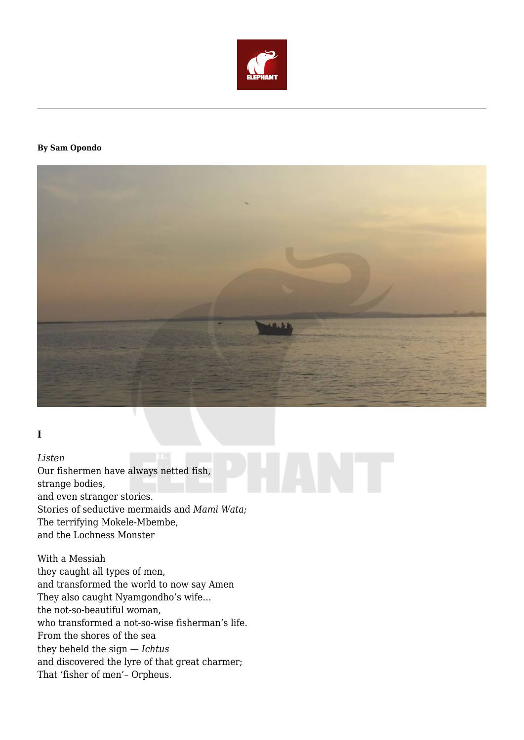

#### **By Sam Opondo**



## **I**

*Listen*

Our fishermen have always netted fish, strange bodies, and even stranger stories. Stories of seductive mermaids and *Mami Wata;* The terrifying Mokele-Mbembe, and the Lochness Monster

With a Messiah they caught all types of men, and transformed the world to now say Amen They also caught Nyamgondho's wife… the not-so-beautiful woman, who transformed a not-so-wise fisherman's life. From the shores of the sea they beheld the sign — *Ichtus* and discovered the lyre of that great charmer; That 'fisher of men'– Orpheus.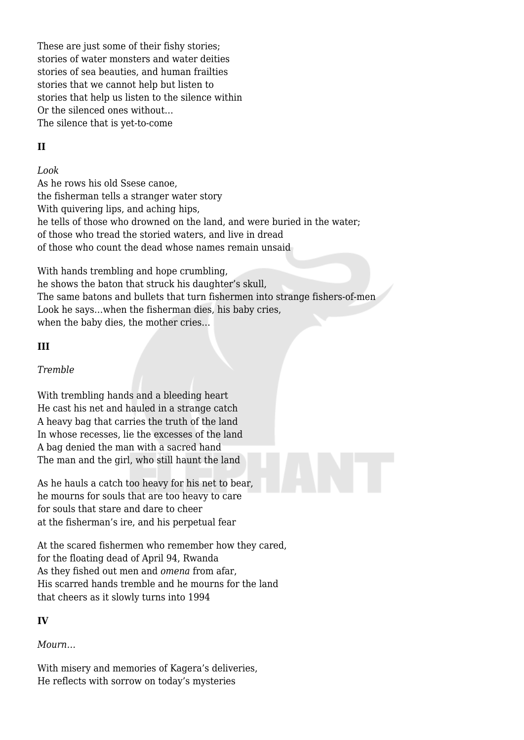These are just some of their fishy stories: stories of water monsters and water deities stories of sea beauties, and human frailties stories that we cannot help but listen to stories that help us listen to the silence within Or the silenced ones without… The silence that is yet-to-come

## **II**

#### *Look*

As he rows his old Ssese canoe, the fisherman tells a stranger water story With quivering lips, and aching hips. he tells of those who drowned on the land, and were buried in the water; of those who tread the storied waters, and live in dread of those who count the dead whose names remain unsaid

With hands trembling and hope crumbling, he shows the baton that struck his daughter's skull, The same batons and bullets that turn fishermen into strange fishers-of-men Look he says…when the fisherman dies, his baby cries, when the baby dies, the mother cries…

#### **III**

#### *Tremble*

With trembling hands and a bleeding heart He cast his net and hauled in a strange catch A heavy bag that carries the truth of the land In whose recesses, lie the excesses of the land A bag denied the man with a sacred hand The man and the girl, who still haunt the land

As he hauls a catch too heavy for his net to bear, he mourns for souls that are too heavy to care for souls that stare and dare to cheer at the fisherman's ire, and his perpetual fear

At the scared fishermen who remember how they cared, for the floating dead of April 94, Rwanda As they fished out men and *omena* from afar, His scarred hands tremble and he mourns for the land that cheers as it slowly turns into 1994

## **IV**

## *Mourn…*

With misery and memories of Kagera's deliveries, He reflects with sorrow on today's mysteries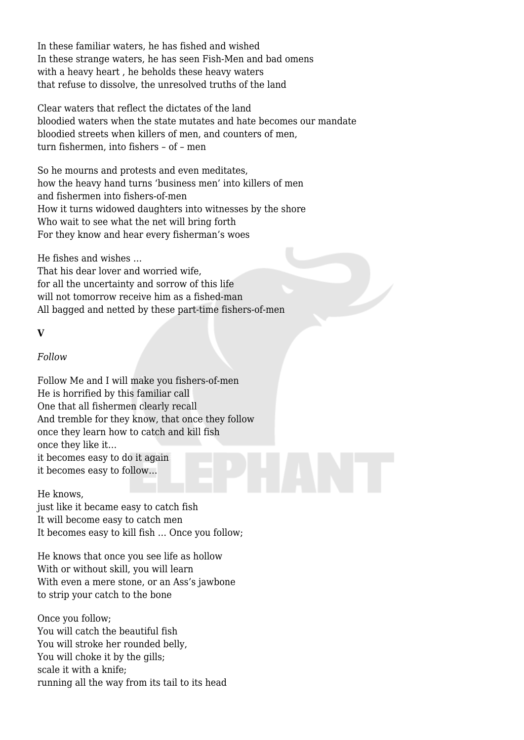In these familiar waters, he has fished and wished In these strange waters, he has seen Fish-Men and bad omens with a heavy heart , he beholds these heavy waters that refuse to dissolve, the unresolved truths of the land

Clear waters that reflect the dictates of the land bloodied waters when the state mutates and hate becomes our mandate bloodied streets when killers of men, and counters of men, turn fishermen, into fishers – of – men

So he mourns and protests and even meditates, how the heavy hand turns 'business men' into killers of men and fishermen into fishers-of-men How it turns widowed daughters into witnesses by the shore Who wait to see what the net will bring forth For they know and hear every fisherman's woes

He fishes and wishes …

That his dear lover and worried wife, for all the uncertainty and sorrow of this life will not tomorrow receive him as a fished-man All bagged and netted by these part-time fishers-of-men

#### **V**

#### *Follow*

Follow Me and I will make you fishers-of-men He is horrified by this familiar call One that all fishermen clearly recall And tremble for they know, that once they follow once they learn how to catch and kill fish once they like it… it becomes easy to do it again it becomes easy to follow…

#### He knows,

just like it became easy to catch fish It will become easy to catch men It becomes easy to kill fish … Once you follow;

He knows that once you see life as hollow With or without skill, you will learn With even a mere stone, or an Ass's jawbone to strip your catch to the bone

Once you follow; You will catch the beautiful fish You will stroke her rounded belly, You will choke it by the gills; scale it with a knife; running all the way from its tail to its head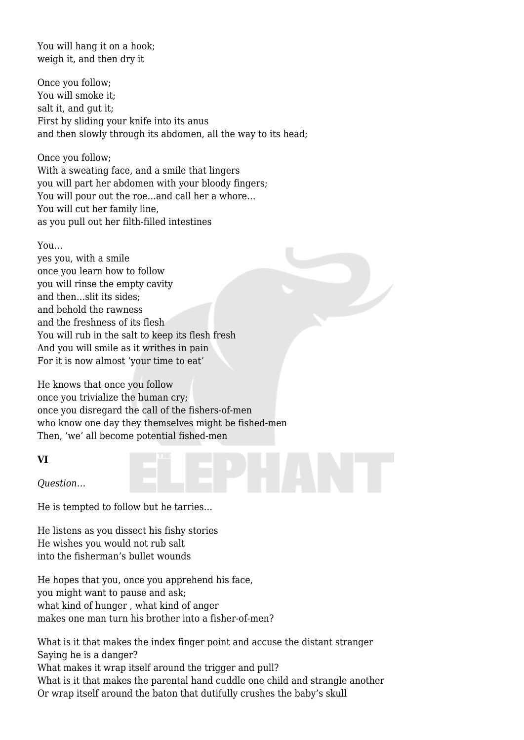You will hang it on a hook: weigh it, and then dry it

Once you follow; You will smoke it; salt it, and gut it; First by sliding your knife into its anus and then slowly through its abdomen, all the way to its head;

Once you follow; With a sweating face, and a smile that lingers you will part her abdomen with your bloody fingers; You will pour out the roe…and call her a whore… You will cut her family line, as you pull out her filth-filled intestines

#### You…

yes you, with a smile once you learn how to follow you will rinse the empty cavity and then…slit its sides; and behold the rawness and the freshness of its flesh You will rub in the salt to keep its flesh fresh And you will smile as it writhes in pain For it is now almost 'your time to eat'

He knows that once you follow once you trivialize the human cry; once you disregard the call of the fishers-of-men who know one day they themselves might be fished-men Then, 'we' all become potential fished-men

#### **VI**

*Question…*

He is tempted to follow but he tarries…

He listens as you dissect his fishy stories He wishes you would not rub salt into the fisherman's bullet wounds

He hopes that you, once you apprehend his face, you might want to pause and ask; what kind of hunger , what kind of anger makes one man turn his brother into a fisher-of-men?

What is it that makes the index finger point and accuse the distant stranger Saying he is a danger? What makes it wrap itself around the trigger and pull? What is it that makes the parental hand cuddle one child and strangle another Or wrap itself around the baton that dutifully crushes the baby's skull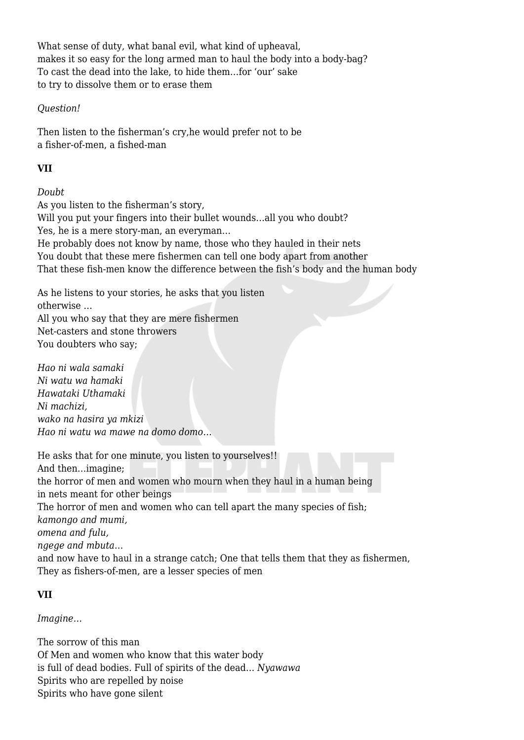What sense of duty, what banal evil, what kind of upheaval, makes it so easy for the long armed man to haul the body into a body-bag? To cast the dead into the lake, to hide them…for 'our' sake to try to dissolve them or to erase them

#### *Question!*

Then listen to the fisherman's cry,he would prefer not to be a fisher-of-men, a fished-man

## **VII**

*Doubt*

As you listen to the fisherman's story, Will you put your fingers into their bullet wounds...all you who doubt? Yes, he is a mere story-man, an everyman… He probably does not know by name, those who they hauled in their nets You doubt that these mere fishermen can tell one body apart from another That these fish-men know the difference between the fish's body and the human body

As he listens to your stories, he asks that you listen otherwise … All you who say that they are mere fishermen Net-casters and stone throwers You doubters who say;

*Hao ni wala samaki Ni watu wa hamaki Hawataki Uthamaki Ni machizi, wako na hasira ya mkizi Hao ni watu wa mawe na domo domo…*

He asks that for one minute, you listen to yourselves!! And then…imagine; the horror of men and women who mourn when they haul in a human being in nets meant for other beings The horror of men and women who can tell apart the many species of fish; *kamongo and mumi, omena and fulu, ngege and mbuta*… and now have to haul in a strange catch; One that tells them that they as fishermen, They as fishers-of-men, are a lesser species of men

## **VII**

*Imagine…*

The sorrow of this man Of Men and women who know that this water body is full of dead bodies. Full of spirits of the dead… *Nyawawa* Spirits who are repelled by noise Spirits who have gone silent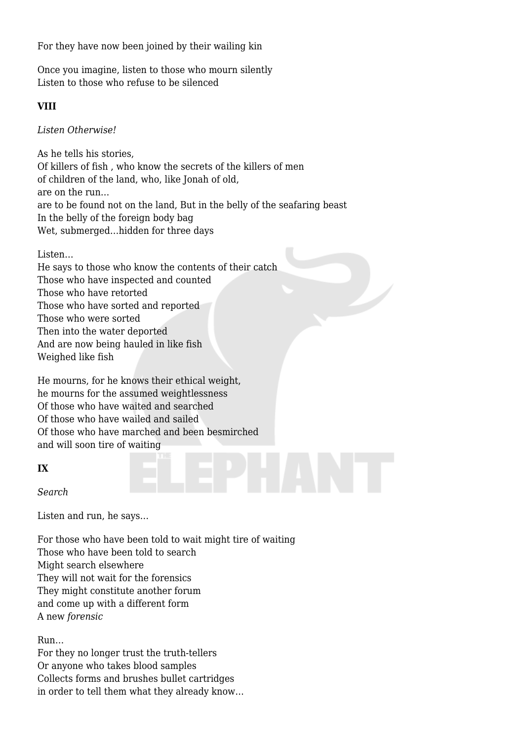For they have now been joined by their wailing kin

Once you imagine, listen to those who mourn silently Listen to those who refuse to be silenced

#### **VIII**

*Listen Otherwise!*

As he tells his stories, Of killers of fish , who know the secrets of the killers of men of children of the land, who, like Jonah of old, are on the run… are to be found not on the land, But in the belly of the seafaring beast In the belly of the foreign body bag Wet, submerged…hidden for three days

Listen…

He says to those who know the contents of their catch Those who have inspected and counted Those who have retorted Those who have sorted and reported Those who were sorted Then into the water deported And are now being hauled in like fish Weighed like fish

He mourns, for he knows their ethical weight, he mourns for the assumed weightlessness Of those who have waited and searched Of those who have wailed and sailed Of those who have marched and been besmirched and will soon tire of waiting

#### **IX**

*Search*

Listen and run, he says…

For those who have been told to wait might tire of waiting Those who have been told to search Might search elsewhere They will not wait for the forensics They might constitute another forum and come up with a different form A new *forensic*

Run…

For they no longer trust the truth-tellers Or anyone who takes blood samples Collects forms and brushes bullet cartridges in order to tell them what they already know…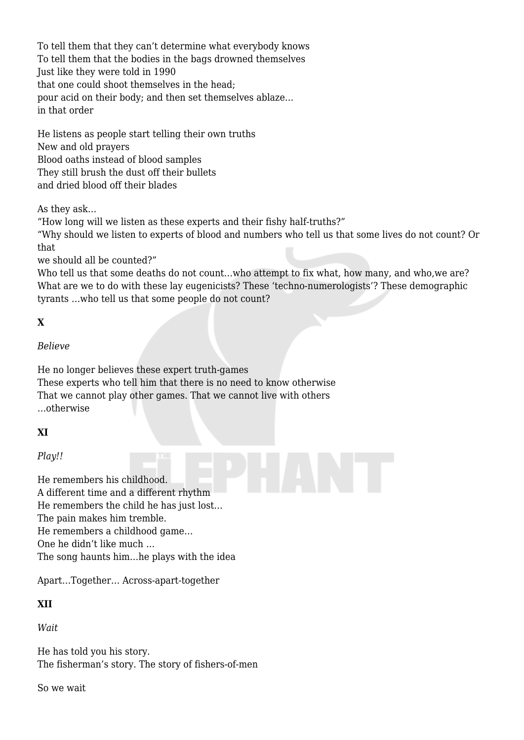To tell them that they can't determine what everybody knows To tell them that the bodies in the bags drowned themselves Just like they were told in 1990 that one could shoot themselves in the head; pour acid on their body; and then set themselves ablaze… in that order

He listens as people start telling their own truths New and old prayers Blood oaths instead of blood samples They still brush the dust off their bullets and dried blood off their blades

As they ask…

"How long will we listen as these experts and their fishy half-truths?"

"Why should we listen to experts of blood and numbers who tell us that some lives do not count? Or that

we should all be counted?"

Who tell us that some deaths do not count…who attempt to fix what, how many, and who,we are? What are we to do with these lay eugenicists? These 'techno-numerologists'? These demographic tyrants …who tell us that some people do not count?

# **X**

#### *Believe*

He no longer believes these expert truth-games These experts who tell him that there is no need to know otherwise That we cannot play other games. That we cannot live with others …otherwise

# **XI**

## *Play!!*

He remembers his childhood. A different time and a different rhythm He remembers the child he has just lost… The pain makes him tremble. He remembers a childhood game… One he didn't like much … The song haunts him…he plays with the idea

Apart…Together… Across-apart-together

## **XII**

*Wait*

He has told you his story. The fisherman's story. The story of fishers-of-men

So we wait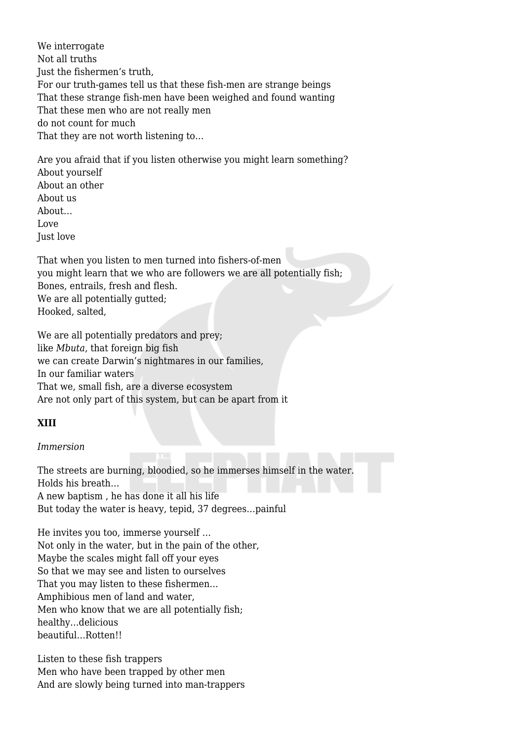We interrogate Not all truths Just the fishermen's truth, For our truth-games tell us that these fish-men are strange beings That these strange fish-men have been weighed and found wanting That these men who are not really men do not count for much That they are not worth listening to…

Are you afraid that if you listen otherwise you might learn something? About yourself About an other About us About… Love Just love

That when you listen to men turned into fishers-of-men you might learn that we who are followers we are all potentially fish; Bones, entrails, fresh and flesh. We are all potentially gutted; Hooked, salted,

We are all potentially predators and prey; like *Mbuta*, that foreign big fish we can create Darwin's nightmares in our families, In our familiar waters That we, small fish, are a diverse ecosystem Are not only part of this system, but can be apart from it

#### **XIII**

#### *Immersion*

The streets are burning, bloodied, so he immerses himself in the water. Holds his breath… A new baptism , he has done it all his life But today the water is heavy, tepid, 37 degrees…painful

He invites you too, immerse yourself … Not only in the water, but in the pain of the other, Maybe the scales might fall off your eyes So that we may see and listen to ourselves That you may listen to these fishermen… Amphibious men of land and water, Men who know that we are all potentially fish; healthy…delicious beautiful…Rotten!!

Listen to these fish trappers Men who have been trapped by other men And are slowly being turned into man-trappers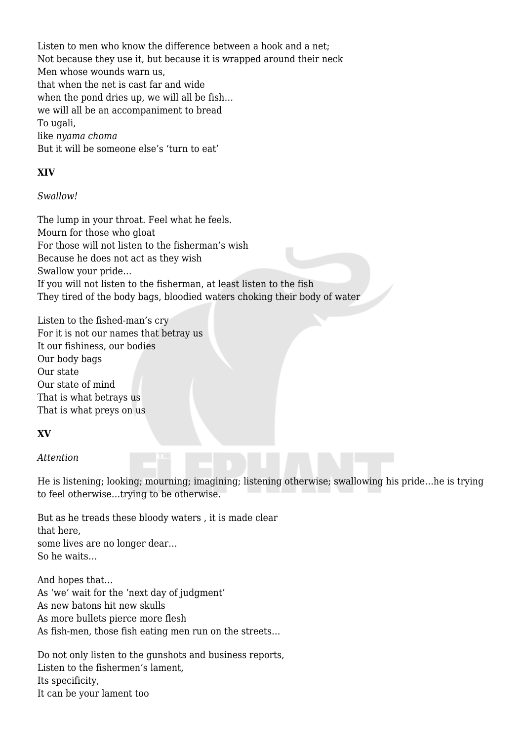Listen to men who know the difference between a hook and a net; Not because they use it, but because it is wrapped around their neck Men whose wounds warn us, that when the net is cast far and wide when the pond dries up, we will all be fish… we will all be an accompaniment to bread To ugali, like *nyama choma* But it will be someone else's 'turn to eat'

## **XIV**

#### *Swallow!*

The lump in your throat. Feel what he feels. Mourn for those who gloat For those will not listen to the fisherman's wish Because he does not act as they wish Swallow your pride… If you will not listen to the fisherman, at least listen to the fish They tired of the body bags, bloodied waters choking their body of water

Listen to the fished-man's cry For it is not our names that betray us It our fishiness, our bodies Our body bags Our state Our state of mind That is what betrays us That is what preys on us

## **XV**

## *Attention*

He is listening; looking; mourning; imagining; listening otherwise; swallowing his pride…he is trying to feel otherwise…trying to be otherwise.

But as he treads these bloody waters , it is made clear that here, some lives are no longer dear… So he waits…

And hopes that… As 'we' wait for the 'next day of judgment' As new batons hit new skulls As more bullets pierce more flesh As fish-men, those fish eating men run on the streets…

Do not only listen to the gunshots and business reports, Listen to the fishermen's lament, Its specificity, It can be your lament too